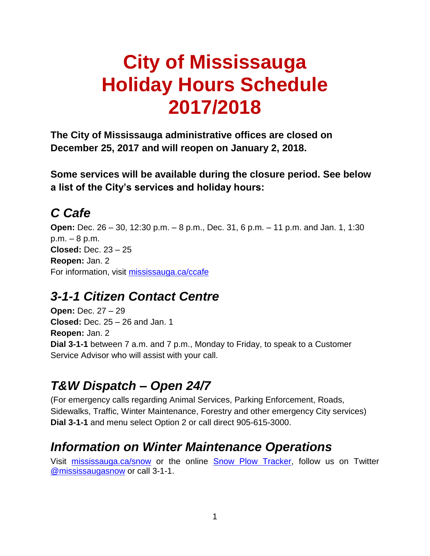# **City of Mississauga Holiday Hours Schedule 2017/2018**

**The City of Mississauga administrative offices are closed on December 25, 2017 and will reopen on January 2, 2018.**

**Some services will be available during the closure period. See below a list of the City's services and holiday hours:** 

## *C Cafe*

**Open:** Dec. 26 – 30, 12:30 p.m. – 8 p.m., Dec. 31, 6 p.m. – 11 p.m. and Jan. 1, 1:30 p.m. – 8 p.m. **Closed:** Dec. 23 – 25 **Reopen:** Jan. 2 For information, visit [mississauga.ca/ccafe](http://www.mississauga.ca/ccafe)

#### *3-1-1 Citizen Contact Centre*

**Open:** Dec. 27 – 29 **Closed:** Dec. 25 – 26 and Jan. 1 **Reopen:** Jan. 2 **Dial 3-1-1** between 7 a.m. and 7 p.m., Monday to Friday, to speak to a Customer Service Advisor who will assist with your call.

## *T&W Dispatch – Open 24/7*

(For emergency calls regarding Animal Services, Parking Enforcement, Roads, Sidewalks, Traffic, Winter Maintenance, Forestry and other emergency City services) **Dial 3-1-1** and menu select Option 2 or call direct 905-615-3000.

#### *Information on Winter Maintenance Operations*

Visit [mississauga.ca/snow](http://www.mississauga.ca/snow) or the online [Snow Plow Tracker,](https://www.511portal.com/mississauga) follow us on Twitter [@mississaugasnow](http://www.twitter.com/mississaugasnow) or call 3-1-1.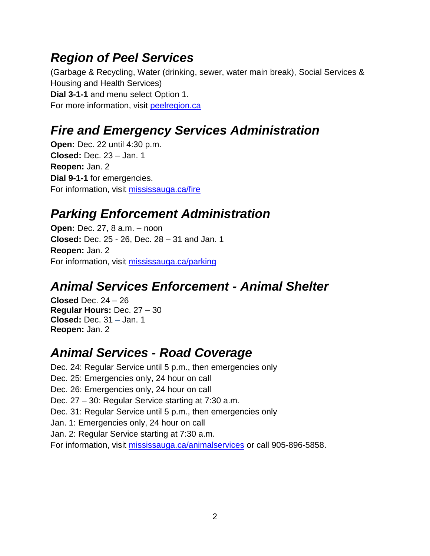#### *Region of Peel Services*

(Garbage & Recycling, Water (drinking, sewer, water main break), Social Services & Housing and Health Services) **Dial 3-1-1** and menu select Option 1. For more information, visit [peelregion.ca](http://www.peelregion.ca/)

## *Fire and Emergency Services Administration*

**Open:** Dec. 22 until 4:30 p.m. **Closed:** Dec. 23 – Jan. 1 **Reopen:** Jan. 2 **Dial 9-1-1** for emergencies. For information, visit [mississauga.ca/fire](http://www.mississauga.ca/fire)

#### *Parking Enforcement Administration*

**Open: Dec. 27, 8 a.m. – noon Closed:** Dec. 25 - 26, Dec. 28 – 31 and Jan. 1 **Reopen:** Jan. 2 For information, visit [mississauga.ca/parking](http://www.mississauga.ca/parking)

## *Animal Services Enforcement - Animal Shelter*

**Closed** Dec. 24 – 26 **Regular Hours:** Dec. 27 – 30 **Closed:** Dec. 31 – Jan. 1 **Reopen:** Jan. 2

#### *Animal Services - Road Coverage*

Dec. 24: Regular Service until 5 p.m., then emergencies only Dec. 25: Emergencies only, 24 hour on call Dec. 26: Emergencies only, 24 hour on call Dec. 27 – 30: Regular Service starting at 7:30 a.m. Dec. 31: Regular Service until 5 p.m., then emergencies only Jan. 1: Emergencies only, 24 hour on call Jan. 2: Regular Service starting at 7:30 a.m. For information, visit [mississauga.ca/animalservices](http://www.mississauga.ca/portal/residents/animalservices) or call 905-896-5858.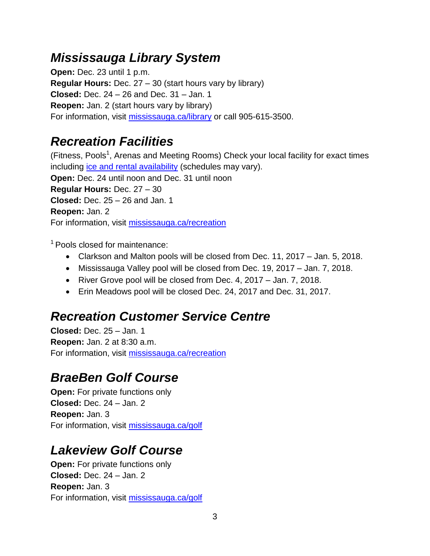#### *Mississauga Library System*

**Open:** Dec. 23 until 1 p.m. **Regular Hours:** Dec. 27 – 30 (start hours vary by library) **Closed:** Dec. 24 – 26 and Dec. 31 – Jan. 1 **Reopen:** Jan. 2 (start hours vary by library) For information, visit [mississauga.ca/library](http://www.mississauga.ca/library) or call 905-615-3500.

# *Recreation Facilities*

(Fitness, Pools<sup>1</sup>, Arenas and Meeting Rooms) Check your local facility for exact times including [ice and rental availability](http://www1.city.mississauga.on.ca/connect2rec/Facilities/FacilitiesSearchWizard.asp) (schedules may vary). **Open:** Dec. 24 until noon and Dec. 31 until noon **Regular Hours:** Dec. 27 – 30 **Closed:** Dec. 25 – 26 and Jan. 1 **Reopen:** Jan. 2 For information, visit [mississauga.ca/recreation](http://www.mississauga.ca/recreation)

 $<sup>1</sup>$  Pools closed for maintenance:</sup>

- Clarkson and Malton pools will be closed from Dec. 11, 2017 Jan. 5, 2018.
- Mississauga Valley pool will be closed from Dec. 19, 2017 Jan. 7, 2018.
- River Grove pool will be closed from Dec. 4, 2017 Jan. 7, 2018.
- Erin Meadows pool will be closed Dec. 24, 2017 and Dec. 31, 2017.

## *Recreation Customer Service Centre*

**Closed:** Dec. 25 – Jan. 1 **Reopen:** Jan. 2 at 8:30 a.m. For information, visit [mississauga.ca/recreation](http://www.mississauga.ca/recreation)

# *BraeBen Golf Course*

**Open:** For private functions only **Closed:** Dec. 24 – Jan. 2 **Reopen:** Jan. 3 For information, visit [mississauga.ca/golf](http://www.mississauga.ca/golf)

## *Lakeview Golf Course*

**Open:** For private functions only **Closed:** Dec. 24 – Jan. 2 **Reopen:** Jan. 3 For information, visit [mississauga.ca/golf](http://www.mississauga.ca/golf)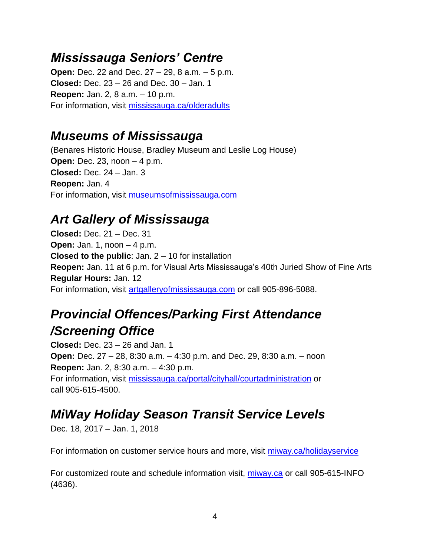#### *Mississauga Seniors' Centre*

**Open:** Dec. 22 and Dec. 27 – 29, 8 a.m. – 5 p.m. **Closed:** Dec. 23 – 26 and Dec. 30 – Jan. 1 **Reopen:** Jan. 2, 8 a.m. – 10 p.m. For information, visit [mississauga.ca/olderadults](http://www.mississauga.ca/olderadults)

#### *Museums of Mississauga*

(Benares Historic House, Bradley Museum and Leslie Log House) **Open:** Dec. 23, noon – 4 p.m. **Closed:** Dec. 24 – Jan. 3 **Reopen:** Jan. 4 For information, visit [museumsofmississauga.com](http://www.museumsofmississauga.com/)

# *Art Gallery of Mississauga*

**Closed:** Dec. 21 – Dec. 31 **Open:** Jan. 1, noon – 4 p.m. **Closed to the public**: Jan. 2 – 10 for installation **Reopen:** Jan. 11 at 6 p.m. for Visual Arts Mississauga's 40th Juried Show of Fine Arts **Regular Hours:** Jan. 12 For information, visit [artgalleryofmississauga.com](http://www.artgalleryofmississauga.com/) or call 905-896-5088.

# *Provincial Offences/Parking First Attendance /Screening Office*

**Closed:** Dec. 23 – 26 and Jan. 1 **Open:** Dec. 27 – 28, 8:30 a.m. – 4:30 p.m. and Dec. 29, 8:30 a.m. – noon **Reopen:** Jan. 2, 8:30 a.m. – 4:30 p.m. For information, visit [mississauga.ca/portal/cityhall/courtadministration](http://www.mississauga.ca/portal/cityhall/courtadministration) or call 905-615-4500.

# *MiWay Holiday Season Transit Service Levels*

Dec. 18, 2017 – Jan. 1, 2018

For information on customer service hours and more, visit [miway.ca/holidayservice](http://www.mississauga.ca/portal/miway/holidayseasonservice)

For customized route and schedule information visit, [miway.ca](http://www.mississauga.ca/portal/miway) or call 905-615-INFO (4636).